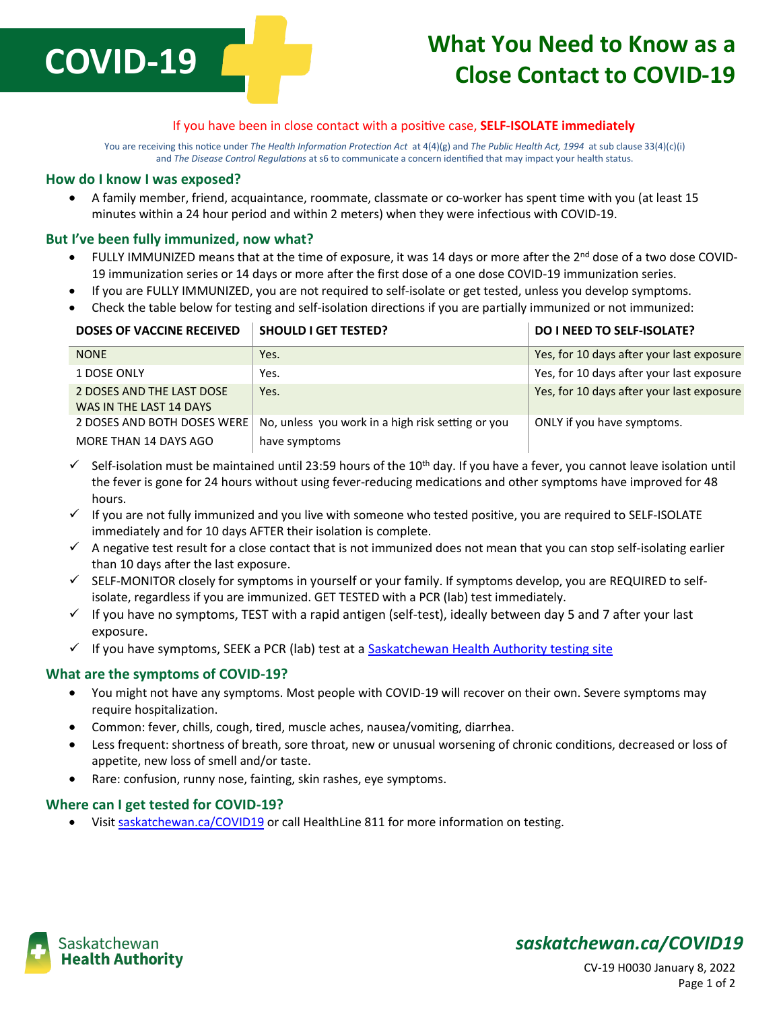

# **What You Need to Know as a Close Contact to COVID-19**

### If you have been in close contact with a positive case, **SELF-ISOLATE immediately**

You are receiving this notice under *The Health Information Protection Act* at 4(4)(g) and *The Public Health Act, 1994* at sub clause 33(4)(c)(i) and *The Disease Control Regulations* at s6 to communicate a concern identified that may impact your health status.

#### **How do I know I was exposed?**

 A family member, friend, acquaintance, roommate, classmate or co-worker has spent time with you (at least 15 minutes within a 24 hour period and within 2 meters) when they were infectious with COVID-19.

### **But I've been fully immunized, now what?**

- FULLY IMMUNIZED means that at the time of exposure, it was 14 days or more after the 2<sup>nd</sup> dose of a two dose COVID-19 immunization series or 14 days or more after the first dose of a one dose COVID-19 immunization series.
- If you are FULLY IMMUNIZED, you are not required to self-isolate or get tested, unless you develop symptoms.
- Check the table below for testing and self-isolation directions if you are partially immunized or not immunized:

| <b>DOSES OF VACCINE RECEIVED</b>                     | <b>SHOULD I GET TESTED?</b>                       | <b>DO I NEED TO SELF-ISOLATE?</b>         |
|------------------------------------------------------|---------------------------------------------------|-------------------------------------------|
| <b>NONE</b>                                          | Yes.                                              | Yes, for 10 days after your last exposure |
| 1 DOSE ONLY                                          | Yes.                                              | Yes, for 10 days after your last exposure |
| 2 DOSES AND THE LAST DOSE<br>WAS IN THE LAST 14 DAYS | Yes.                                              | Yes, for 10 days after your last exposure |
| 2 DOSES AND BOTH DOSES WERE                          | No, unless you work in a high risk setting or you | ONLY if you have symptoms.                |
| MORE THAN 14 DAYS AGO                                | have symptoms                                     |                                           |

- $\checkmark$  Self-isolation must be maintained until 23:59 hours of the 10<sup>th</sup> day. If you have a fever, you cannot leave isolation until the fever is gone for 24 hours without using fever-reducing medications and other symptoms have improved for 48 hours.
- $\checkmark$  If you are not fully immunized and you live with someone who tested positive, you are required to SELF-ISOLATE immediately and for 10 days AFTER their isolation is complete.
- $\checkmark$  A negative test result for a close contact that is not immunized does not mean that you can stop self-isolating earlier than 10 days after the last exposure.
- $\checkmark$  SELF-MONITOR closely for symptoms in yourself or your family. If symptoms develop, you are REQUIRED to selfisolate, regardless if you are immunized. GET TESTED with a PCR (lab) test immediately.
- $\checkmark$  If you have no symptoms, TEST with a rapid antigen (self-test), ideally between day 5 and 7 after your last exposure.
- √ If you have symptoms, SEEK a PCR (lab) test at a **Saskatchewan Health Authority testing site**

### **What are the symptoms of COVID-19?**

- You might not have any symptoms. Most people with COVID-19 will recover on their own. Severe symptoms may require hospitalization.
- Common: fever, chills, cough, tired, muscle aches, nausea/vomiting, diarrhea.
- Less frequent: shortness of breath, sore throat, new or unusual worsening of chronic conditions, decreased or loss of appetite, new loss of smell and/or taste.
- Rare: confusion, runny nose, fainting, skin rashes, eye symptoms.

### **Where can I get tested for COVID-19?**

Visit [saskatchewan.ca/COVID19](http://www.saskatchewan.ca/COVID19) or call HealthLine 811 for more information on testing.



### *saskatchewan.ca/COVID19*

CV-19 H0030 January 8, 2022 Page 1 of 2